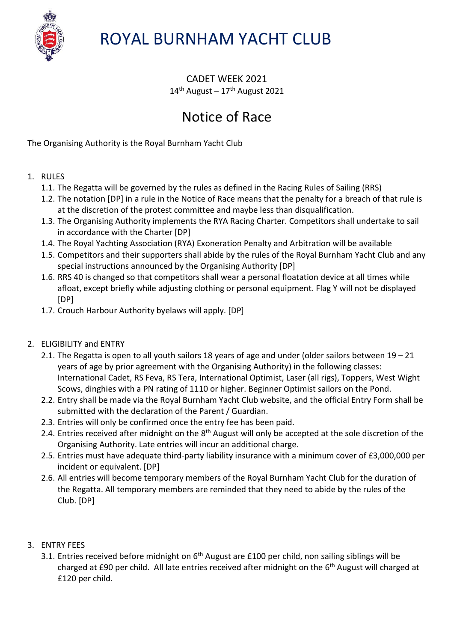

# ROYAL BURNHAM YACHT CLUB

CADET WEEK 2021  $14<sup>th</sup>$  August –  $17<sup>th</sup>$  August 2021

## Notice of Race

The Organising Authority is the Royal Burnham Yacht Club

## 1. RULES

- 1.1. The Regatta will be governed by the rules as defined in the Racing Rules of Sailing (RRS)
- 1.2. The notation [DP] in a rule in the Notice of Race means that the penalty for a breach of that rule is at the discretion of the protest committee and maybe less than disqualification.
- 1.3. The Organising Authority implements the RYA Racing Charter. Competitors shall undertake to sail in accordance with the Charter [DP]
- 1.4. The Royal Yachting Association (RYA) Exoneration Penalty and Arbitration will be available
- 1.5. Competitors and their supporters shall abide by the rules of the Royal Burnham Yacht Club and any special instructions announced by the Organising Authority [DP]
- 1.6. RRS 40 is changed so that competitors shall wear a personal floatation device at all times while afloat, except briefly while adjusting clothing or personal equipment. Flag Y will not be displayed [DP]
- 1.7. Crouch Harbour Authority byelaws will apply. [DP]
- 2. ELIGIBILITY and ENTRY
	- 2.1. The Regatta is open to all youth sailors 18 years of age and under (older sailors between 19 21 years of age by prior agreement with the Organising Authority) in the following classes: International Cadet, RS Feva, RS Tera, International Optimist, Laser (all rigs), Toppers, West Wight Scows, dinghies with a PN rating of 1110 or higher. Beginner Optimist sailors on the Pond.
	- 2.2. Entry shall be made via the Royal Burnham Yacht Club website, and the official Entry Form shall be submitted with the declaration of the Parent / Guardian.
	- 2.3. Entries will only be confirmed once the entry fee has been paid.
	- 2.4. Entries received after midnight on the 8<sup>th</sup> August will only be accepted at the sole discretion of the Organising Authority. Late entries will incur an additional charge.
	- 2.5. Entries must have adequate third-party liability insurance with a minimum cover of £3,000,000 per incident or equivalent. [DP]
	- 2.6. All entries will become temporary members of the Royal Burnham Yacht Club for the duration of the Regatta. All temporary members are reminded that they need to abide by the rules of the Club. [DP]

### 3. ENTRY FEES

3.1. Entries received before midnight on  $6<sup>th</sup>$  August are £100 per child, non sailing siblings will be charged at £90 per child. All late entries received after midnight on the 6<sup>th</sup> August will charged at £120 per child.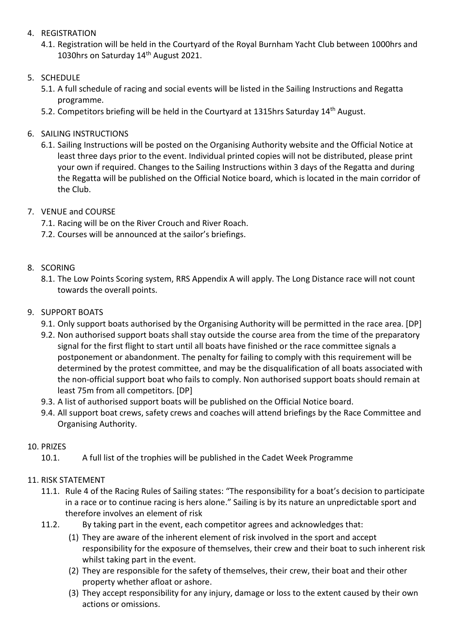#### 4. REGISTRATION

4.1. Registration will be held in the Courtyard of the Royal Burnham Yacht Club between 1000hrs and 1030hrs on Saturday 14<sup>th</sup> August 2021.

### 5. SCHEDULE

- 5.1. A full schedule of racing and social events will be listed in the Sailing Instructions and Regatta programme.
- 5.2. Competitors briefing will be held in the Courtyard at 1315hrs Saturday 14<sup>th</sup> August.
- 6. SAILING INSTRUCTIONS
	- 6.1. Sailing Instructions will be posted on the Organising Authority website and the Official Notice at least three days prior to the event. Individual printed copies will not be distributed, please print your own if required. Changes to the Sailing Instructions within 3 days of the Regatta and during the Regatta will be published on the Official Notice board, which is located in the main corridor of the Club.
- 7. VENUE and COURSE
	- 7.1. Racing will be on the River Crouch and River Roach.
	- 7.2. Courses will be announced at the sailor's briefings.

## 8. SCORING

8.1. The Low Points Scoring system, RRS Appendix A will apply. The Long Distance race will not count towards the overall points.

## 9. SUPPORT BOATS

- 9.1. Only support boats authorised by the Organising Authority will be permitted in the race area. [DP]
- 9.2. Non authorised support boats shall stay outside the course area from the time of the preparatory signal for the first flight to start until all boats have finished or the race committee signals a postponement or abandonment. The penalty for failing to comply with this requirement will be determined by the protest committee, and may be the disqualification of all boats associated with the non-official support boat who fails to comply. Non authorised support boats should remain at least 75m from all competitors. [DP]
- 9.3. A list of authorised support boats will be published on the Official Notice board.
- 9.4. All support boat crews, safety crews and coaches will attend briefings by the Race Committee and Organising Authority.

### 10. PRIZES

10.1. A full list of the trophies will be published in the Cadet Week Programme

## 11. RISK STATEMENT

- 11.1. Rule 4 of the Racing Rules of Sailing states: "The responsibility for a boat's decision to participate in a race or to continue racing is hers alone." Sailing is by its nature an unpredictable sport and therefore involves an element of risk
- 11.2. By taking part in the event, each competitor agrees and acknowledges that:
	- (1) They are aware of the inherent element of risk involved in the sport and accept responsibility for the exposure of themselves, their crew and their boat to such inherent risk whilst taking part in the event.
	- (2) They are responsible for the safety of themselves, their crew, their boat and their other property whether afloat or ashore.
	- (3) They accept responsibility for any injury, damage or loss to the extent caused by their own actions or omissions.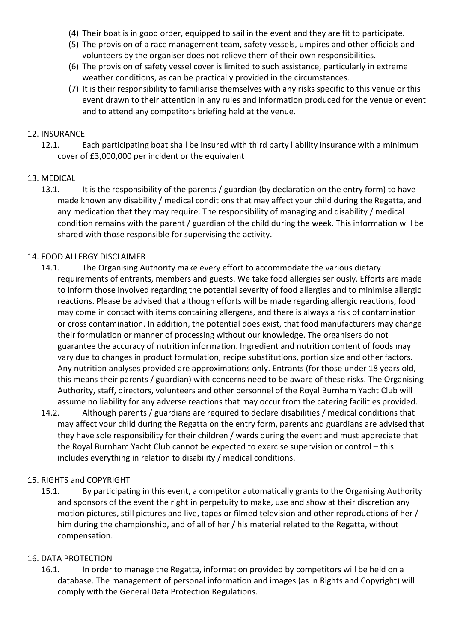- (4) Their boat is in good order, equipped to sail in the event and they are fit to participate.
- (5) The provision of a race management team, safety vessels, umpires and other officials and volunteers by the organiser does not relieve them of their own responsibilities.
- (6) The provision of safety vessel cover is limited to such assistance, particularly in extreme weather conditions, as can be practically provided in the circumstances.
- (7) It is their responsibility to familiarise themselves with any risks specific to this venue or this event drawn to their attention in any rules and information produced for the venue or event and to attend any competitors briefing held at the venue.

#### 12. INSURANCE

12.1. Each participating boat shall be insured with third party liability insurance with a minimum cover of £3,000,000 per incident or the equivalent

#### 13. MEDICAL

13.1. It is the responsibility of the parents / guardian (by declaration on the entry form) to have made known any disability / medical conditions that may affect your child during the Regatta, and any medication that they may require. The responsibility of managing and disability / medical condition remains with the parent / guardian of the child during the week. This information will be shared with those responsible for supervising the activity.

#### 14. FOOD ALLERGY DISCLAIMER

- 14.1. The Organising Authority make every effort to accommodate the various dietary requirements of entrants, members and guests. We take food allergies seriously. Efforts are made to inform those involved regarding the potential severity of food allergies and to minimise allergic reactions. Please be advised that although efforts will be made regarding allergic reactions, food may come in contact with items containing allergens, and there is always a risk of contamination or cross contamination. In addition, the potential does exist, that food manufacturers may change their formulation or manner of processing without our knowledge. The organisers do not guarantee the accuracy of nutrition information. Ingredient and nutrition content of foods may vary due to changes in product formulation, recipe substitutions, portion size and other factors. Any nutrition analyses provided are approximations only. Entrants (for those under 18 years old, this means their parents / guardian) with concerns need to be aware of these risks. The Organising Authority, staff, directors, volunteers and other personnel of the Royal Burnham Yacht Club will assume no liability for any adverse reactions that may occur from the catering facilities provided.
- 14.2. Although parents / guardians are required to declare disabilities / medical conditions that may affect your child during the Regatta on the entry form, parents and guardians are advised that they have sole responsibility for their children / wards during the event and must appreciate that the Royal Burnham Yacht Club cannot be expected to exercise supervision or control – this includes everything in relation to disability / medical conditions.

#### 15. RIGHTS and COPYRIGHT

15.1. By participating in this event, a competitor automatically grants to the Organising Authority and sponsors of the event the right in perpetuity to make, use and show at their discretion any motion pictures, still pictures and live, tapes or filmed television and other reproductions of her / him during the championship, and of all of her / his material related to the Regatta, without compensation.

#### 16. DATA PROTECTION

16.1. In order to manage the Regatta, information provided by competitors will be held on a database. The management of personal information and images (as in Rights and Copyright) will comply with the General Data Protection Regulations.